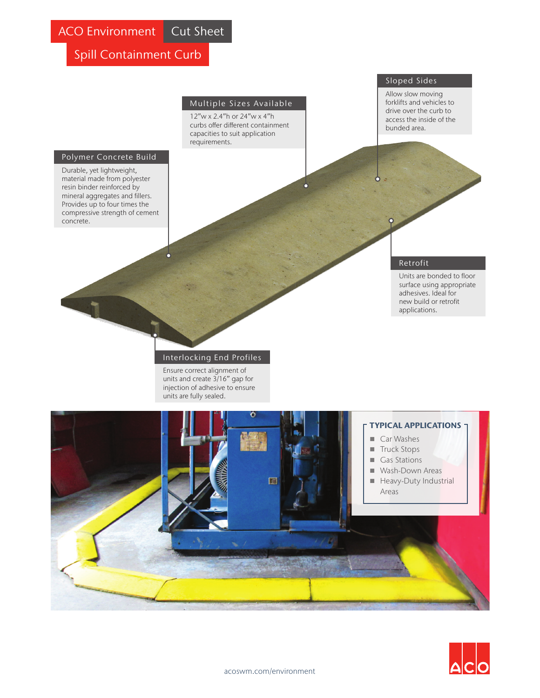Spill Containment Curb

### Multiple Sizes Available

12"w x 2.4"h or 24"w x 4"h curbs offer different containment capacities to suit application requirements.

### Polymer Concrete Build

Durable, yet lightweight, material made from polyester resin binder reinforced by mineral aggregates and fillers. Provides up to four times the compressive strength of cement concrete.

## Sloped Sides

Allow slow moving forklifts and vehicles to drive over the curb to access the inside of the bunded area.

### Retrofit

Units are bonded to floor surface using appropriate adhesives. Ideal for new build or retrofit applications.

### Interlocking End Profiles

Ensure correct alignment of units and create 3/16" gap for injection of adhesive to ensure units are fully sealed.